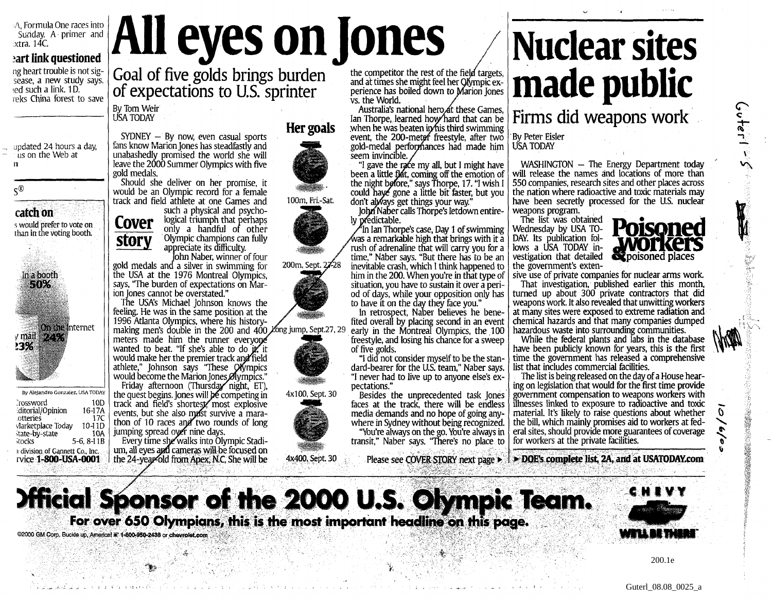A, Formula One races into Sunday. A primer and .xtra. 14C.

## **art link questioned**

ag heart trouble is not sigsease, a new study says. ied such a link. ID. neks China forest to save

updated 24 hours a day, us on the Web at n

 $\varsigma^{\scriptscriptstyle{\textcircled{\tiny 0}}}$ 

**catch on** s would prefer to vote on than in the voting booth.



By Alejandro Gonzalez, USA TODAY Prossword 10D<br>
ditorial/Opinion 16-17A :ditorial/Opinion 16-17A otteries 17C<br>Marketplace Today 10-11D Marketplace Today 10-11D<br>
Marke-by-state 10A itate-by-state tocks 5-6, 8-11B 1 division of Gannett Co., Inc. rvice **1-800-USA-0001**

**All eyes on Jones** Goal of five golds brings burden of expectations to U.S. sprinter the competitor the rest of the field targets,

By Tom Weir USATODAY

 $SYDNEY - By now, even casual sports$ fans know Marion Jones has steadfastly and unabashedly promised the world she will leave the 2000 Summer Olympics with five gold medals.

Should she deliver on her promise, it would be an Olympic record for a female track and field athlete at one Games and

such a physical and psychological triumph that perhaps **Cover** only a handful of other Olympic champions can fully **story** appreciate its difficulty.

John Naber, winner of four gold medals and" a silver in swimming for the USA at the 1976 Montreal Olympics, says, "The burden of expectations on Marion Jones cannot be overstated."

The USA's Michael Johnson knows the feeling. He was in the same position at the 1996 Atlanta Olympics, where his historymaking men's double in the 200 and 400. Zong jump, Sept.27, 29 meters made him the runner everyone wanted to beat. "If she's able to do iz it would make her the premier track and field athlete," Johnson says "These Olympics would become the Marion Jones Olympics." Friday afternoon (Thursday night, ET),

the quest begins. Jones will **bé** competing in track and field's shortest, most explosive events, but she also must survive a marathon of 10 races and two rounds of long jumping spread over nine days.

Every time she walks into Olympic Stadium, all eyes and cameras will be focused on the 24-year old from Apex, N.C. She will be











*ft;* **•** 4x100, Sept. 30



4x400, Sept. 30

and at times she might feel her Qfympic experience has boiled down to Marion Jones vs. the World.

Australia's national hero at these Games, Ian Thorpe, learned how hard that can be when he was beaten in  $\hat{m}$  is third swimming event, the 200-meter freestyle, after two gold-medal perfoiynances had made him seem invincible.

"1 gave the race my all, but I might have been a little flat, coming off the emotion of the night before," says Thorpe, 17. "I wish I could have gone a little bit faster, but you don't alyvays get things your way."

John Naber calls Thorpe's letdown entirely predictable.

 $\mathrm{^a}$ In Ian Thorpe's case, Day 1 of swimming  $\ell$ was a remarkable high that brings with it a rush of adrenaline that will carry you for a time," Naber says. "But there has to be an inevitable crash, which I think happened to him in the 200. When you're in that type of situation, you have to sustain it over a period of days, while your opposition only has to have it on the day they face you."

In retrospect, Naber believes he benefited overall by placing second in an event early in the Montreal Olympics, the 100 freestyle, and losing his chance for a sweep of five golds.

"I did not consider myself to be the standard-bearer for the US. team," Naber says. "I never had to live up to anyone else's expectations."

Besides the unprecedented task Jones faces at the track, there will be endless media demands and no hope of going anywhere in Sydney without being recognized. "You're always on thego. You're always in transit," Naber says. "There's no place to

**Nuclear sites made public** Firms did weapons work

By Peter Eisler USATODAY

 $WASHINGTON - The Energy Department today$ will release the names and locations of more than 550 companies, research sites and other places across the nation where radioactive and toxic materials may have been secretly processed for the US. nuclear weapons program.

• f

The list was obtained Wednesday by USA TO-DAY. Its publication follows a USA TODAY investigation that detailed the government's exten-



ہ<br>م†ھ1

 $\sim$ 

**不可以可以不可能的 人名德里克 医心理学的 医心理学的 医心理学的 医心理学的 医心理学的 医心理学的 医心理学的 医心理学的 医心理学的 医心理学的 医心理学的 医心理学的 医心理学的 医心理学的 医心理学的 医心理学的 医心理学的 医心理学的 医心理学的 医心理学的 医心理学的 医心理学的 医心理学的** 

 $\boldsymbol{\theta}$ 

sive use of private companies for nuclear arms work. That investigation, published earlier this month,

turned up about 300 private contractors that did weapons work. It also revealed that unwitting workers at many sites were exposed to extreme radiation and chemical hazards and that many companies dumped hazardous waste into surrounding communities.

While the federal plants and labs in the database have been publicly known for years, this is the first time the government has released a comprehensive list that includes commercial facilities.

The list is being released on the day of a House hearing on legislation that would for the first time provide government compensation to weapons workers with illnesses linked to exposure to radioactive and toxic material. It's likely to raise questions about whether the bill, which mainly promises aid to workers at federal sites, should provide more guarantees of coverage for workers at the private facilities.

Please see COVER STORY next page • **• DOE'S complete list, 2A, and at USATODAY.com**



©2000 GM Corp. Buckle up, America! <sup>#</sup> 1-800-950-2438 or chevrolet.com